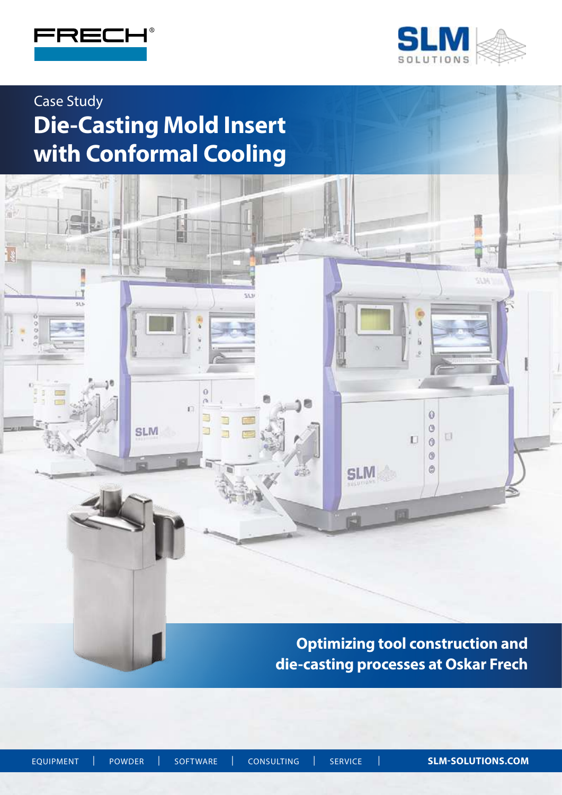

 $50$ 

 $9 - 5$ 

 $\frac{0}{0}$ 

渝



53.34

# Case Study **Die-Casting Mold Insert with Conformal Cooling**

鳳

 $\ddot{\mathbf{0}}$  $\alpha$ n

₿

E

**SLM** 

53.3

**Optimizing tool construction and die-casting processes at Oskar Frech**

 $\ddot{\mathbf{0}}$ 

 $\circ$ 

 $\Box$  $\theta$  $\circledcirc$  $\circledS$ 

**SLM** 

崗

**ALSO** 

U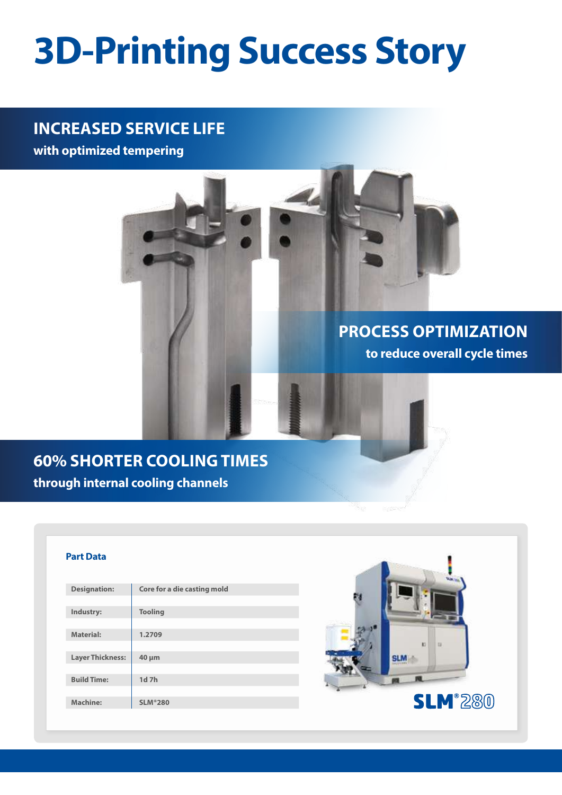# **3D-Printing Success Story**

## **INCREASED SERVICE LIFE**

**with optimized tempering**

# **PROCESS OPTIMIZATION to reduce overall cycle times**

# **60% SHORTER COOLING TIMES through internal cooling channels**

#### **Part Data**

| <b>Designation:</b>     | Core for a die casting mold |
|-------------------------|-----------------------------|
|                         |                             |
| Industry:               | <b>Tooling</b>              |
|                         |                             |
| <b>Material:</b>        | 1.2709                      |
|                         |                             |
| <b>Layer Thickness:</b> | $40 \mu m$                  |
|                         |                             |
| <b>Build Time:</b>      | 1d 7h                       |
|                         |                             |
| <b>Machine:</b>         | <b>SLM</b> <sup>®</sup> 280 |
|                         |                             |

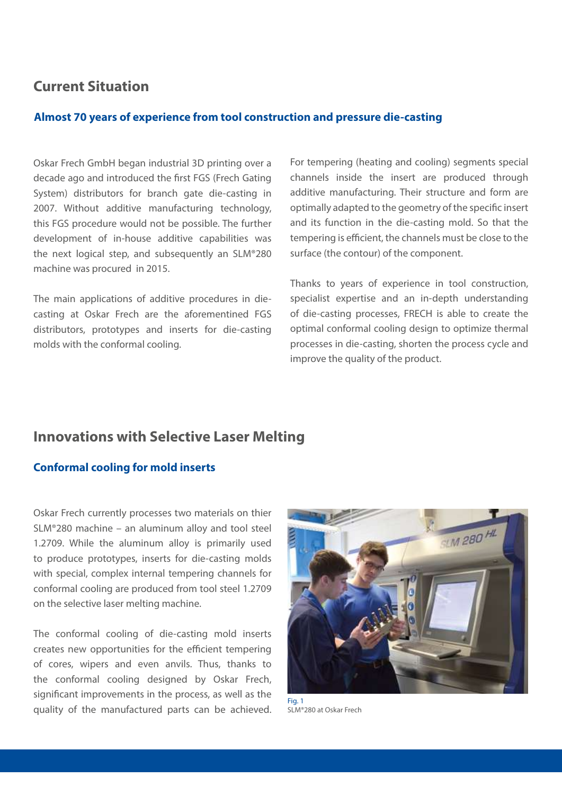## **Current Situation**

#### **Almost 70 years of experience from tool construction and pressure die-casting**

Oskar Frech GmbH began industrial 3D printing over a decade ago and introduced the first FGS (Frech Gating System) distributors for branch gate die-casting in 2007. Without additive manufacturing technology, this FGS procedure would not be possible. The further development of in-house additive capabilities was the next logical step, and subsequently an SLM®280 machine was procured in 2015.

The main applications of additive procedures in diecasting at Oskar Frech are the aforementined FGS distributors, prototypes and inserts for die-casting molds with the conformal cooling.

For tempering (heating and cooling) segments special channels inside the insert are produced through additive manufacturing. Their structure and form are optimally adapted to the geometry of the specific insert and its function in the die-casting mold. So that the tempering is efficient, the channels must be close to the surface (the contour) of the component.

Thanks to years of experience in tool construction, specialist expertise and an in-depth understanding of die-casting processes, FRECH is able to create the optimal conformal cooling design to optimize thermal processes in die-casting, shorten the process cycle and improve the quality of the product.

## **Innovations with Selective Laser Melting**

#### **Conformal cooling for mold inserts**

Oskar Frech currently processes two materials on thier SLM®280 machine – an aluminum alloy and tool steel 1.2709. While the aluminum alloy is primarily used to produce prototypes, inserts for die-casting molds with special, complex internal tempering channels for conformal cooling are produced from tool steel 1.2709 on the selective laser melting machine.

The conformal cooling of die-casting mold inserts creates new opportunities for the efficient tempering of cores, wipers and even anvils. Thus, thanks to the conformal cooling designed by Oskar Frech, significant improvements in the process, as well as the quality of the manufactured parts can be achieved.



SLM®280 at Oskar Frech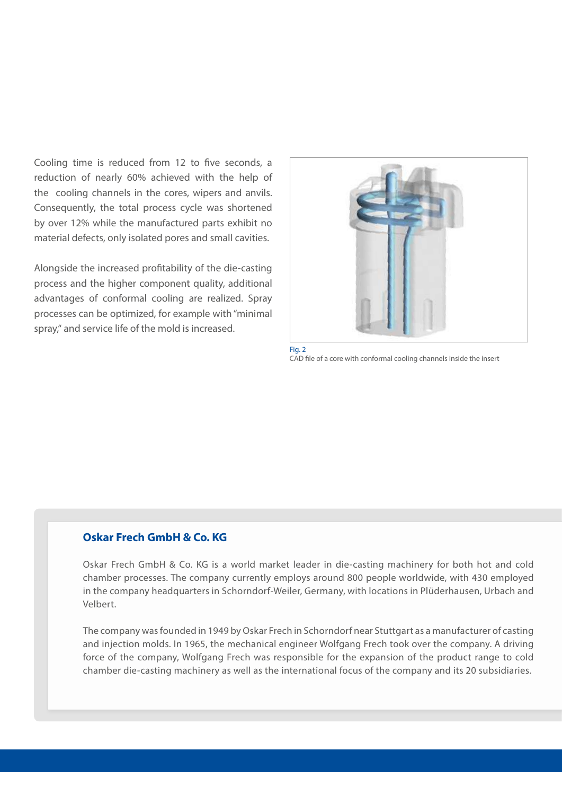Cooling time is reduced from 12 to five seconds, a reduction of nearly 60% achieved with the help of the cooling channels in the cores, wipers and anvils. Consequently, the total process cycle was shortened by over 12% while the manufactured parts exhibit no material defects, only isolated pores and small cavities.

Alongside the increased profitability of the die-casting process and the higher component quality, additional advantages of conformal cooling are realized. Spray processes can be optimized, for example with "minimal spray," and service life of the mold is increased.



Fig. 2 CAD file of a core with conformal cooling channels inside the insert

### **Oskar Frech GmbH & Co. KG**

Oskar Frech GmbH & Co. KG is a world market leader in die-casting machinery for both hot and cold chamber processes. The company currently employs around 800 people worldwide, with 430 employed in the company headquarters in Schorndorf-Weiler, Germany, with locations in Plüderhausen, Urbach and Velbert.

The company was founded in 1949 by Oskar Frech in Schorndorf near Stuttgart as a manufacturer of casting and injection molds. In 1965, the mechanical engineer Wolfgang Frech took over the company. A driving force of the company, Wolfgang Frech was responsible for the expansion of the product range to cold chamber die-casting machinery as well as the international focus of the company and its 20 subsidiaries.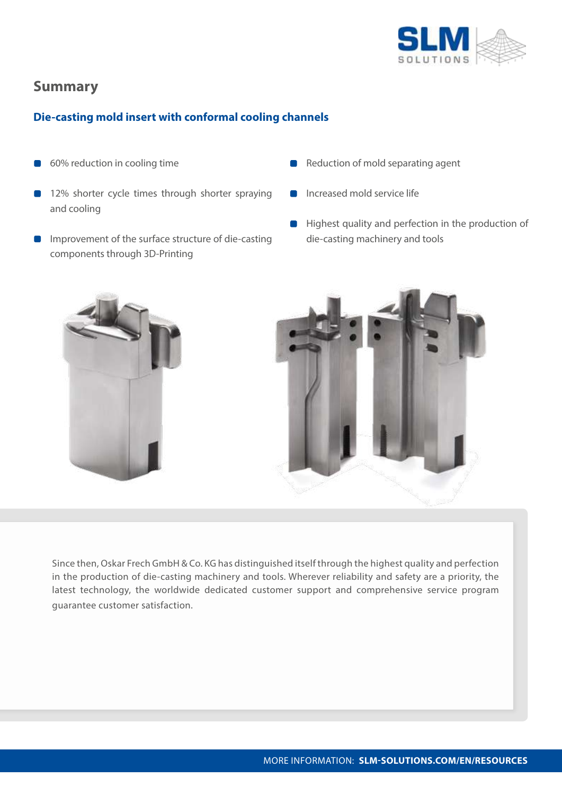

## **Summary**

## **Die-casting mold insert with conformal cooling channels**

- 60% reduction in cooling time
- 12% shorter cycle times through shorter spraying and cooling
- **IMPROMEDIATE:** Improvement of the surface structure of die-casting components through 3D-Printing
- Reduction of mold separating agent
- Increased mold service life
- **Highest quality and perfection in the production of** die-casting machinery and tools



Since then, Oskar Frech GmbH & Co. KG has distinguished itself through the highest quality and perfection in the production of die-casting machinery and tools. Wherever reliability and safety are a priority, the latest technology, the worldwide dedicated customer support and comprehensive service program guarantee customer satisfaction.